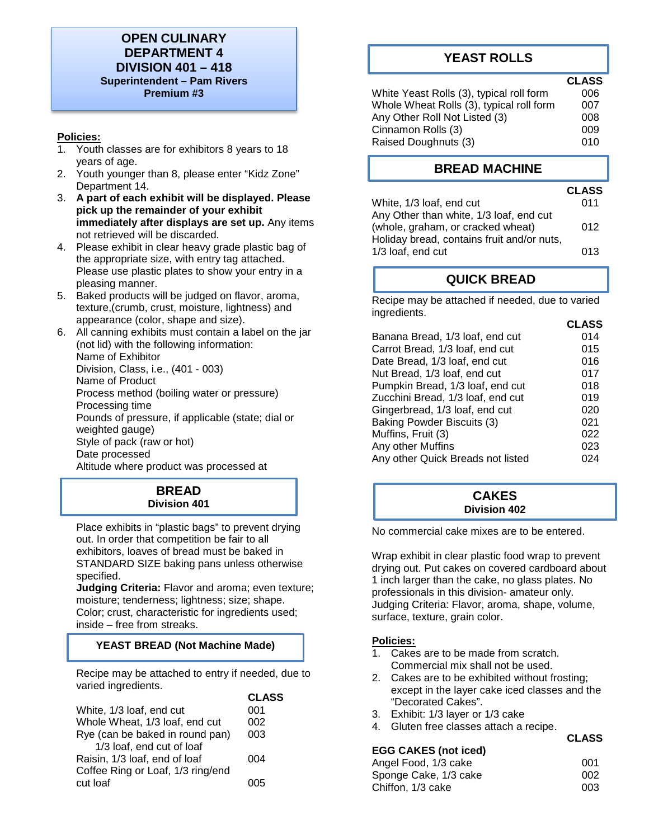# **OPEN CULINARY DEPARTMENT 4 DIVISION 401 – 418 Superintendent – Pam Rivers Premium #3**

### **Policies:**

- 1. Youth classes are for exhibitors 8 years to 18 years of age.
- 2. Youth younger than 8, please enter "Kidz Zone" Department 14.
- 3. **A part of each exhibit will be displayed. Please pick up the remainder of your exhibit immediately after displays are set up.** Any items not retrieved will be discarded.
- 4. Please exhibit in clear heavy grade plastic bag of the appropriate size, with entry tag attached. Please use plastic plates to show your entry in a pleasing manner.
- 5. Baked products will be judged on flavor, aroma, texture,(crumb, crust, moisture, lightness) and appearance (color, shape and size).
- 6. All canning exhibits must contain a label on the jar (not lid) with the following information: Name of Exhibitor Division, Class, i.e., (401 - 003) Name of Product Process method (boiling water or pressure) Processing time Pounds of pressure, if applicable (state; dial or weighted gauge) Style of pack (raw or hot) Date processed Altitude where product was processed at

# **BREAD Division 401**

Place exhibits in "plastic bags" to prevent drying out. In order that competition be fair to all exhibitors, loaves of bread must be baked in STANDARD SIZE baking pans unless otherwise specified.

**Judging Criteria:** Flavor and aroma; even texture; moisture; tenderness; lightness; size; shape. Color; crust, characteristic for ingredients used; inside – free from streaks.

### **YEAST BREAD (Not Machine Made)**

Recipe may be attached to entry if needed, due to varied ingredients.

|                                   | <b>CLASS</b> |
|-----------------------------------|--------------|
| White, 1/3 loaf, end cut          | 001          |
| Whole Wheat, 1/3 loaf, end cut    | 002          |
| Rye (can be baked in round pan)   | 003          |
| 1/3 loaf, end cut of loaf         |              |
| Raisin, 1/3 loaf, end of loaf     | 004          |
| Coffee Ring or Loaf, 1/3 ring/end |              |
| cut loaf                          |              |

# **YEAST ROLLS**

# **CLASS**

| White Yeast Rolls (3), typical roll form | 006 |
|------------------------------------------|-----|
| Whole Wheat Rolls (3), typical roll form | 007 |
| Any Other Roll Not Listed (3)            | 008 |
| Cinnamon Rolls (3)                       | 009 |
| Raised Doughnuts (3)                     | 010 |

# **BREAD MACHINE**

|                                            | <b>CLASS</b> |
|--------------------------------------------|--------------|
| White, 1/3 loaf, end cut                   | 011          |
| Any Other than white, 1/3 loaf, end cut    |              |
| (whole, graham, or cracked wheat)          | 012          |
| Holiday bread, contains fruit and/or nuts, |              |
| 1/3 loaf, end cut                          | 013          |
|                                            |              |

# **QUICK BREAD**

Recipe may be attached if needed, due to varied ingredients.  **CLASS**

| Banana Bread, 1/3 loaf, end cut   | 014 |
|-----------------------------------|-----|
| Carrot Bread, 1/3 loaf, end cut   | 015 |
| Date Bread, 1/3 loaf, end cut     | 016 |
| Nut Bread, 1/3 loaf, end cut      | 017 |
| Pumpkin Bread, 1/3 loaf, end cut  | 018 |
| Zucchini Bread, 1/3 loaf, end cut | 019 |
| Gingerbread, 1/3 loaf, end cut    | 020 |
| Baking Powder Biscuits (3)        | 021 |
| Muffins, Fruit (3)                | 022 |
| Any other Muffins                 | 023 |
| Any other Quick Breads not listed | 024 |
|                                   |     |

### **CAKES Division 402**

No commercial cake mixes are to be entered.

Wrap exhibit in clear plastic food wrap to prevent drying out. Put cakes on covered cardboard about 1 inch larger than the cake, no glass plates. No professionals in this division- amateur only. Judging Criteria: Flavor, aroma, shape, volume, surface, texture, grain color.

### **Policies:**

- 1. Cakes are to be made from scratch. Commercial mix shall not be used.
- 2. Cakes are to be exhibited without frosting; except in the layer cake iced classes and the "Decorated Cakes".

**CLASS**

- 3. Exhibit: 1/3 layer or 1/3 cake
- 4. Gluten free classes attach a recipe.

|                             | .   |
|-----------------------------|-----|
| <b>EGG CAKES (not iced)</b> |     |
| Angel Food, 1/3 cake        | 001 |
| Sponge Cake, 1/3 cake       | 002 |
| Chiffon, 1/3 cake           | 003 |
|                             |     |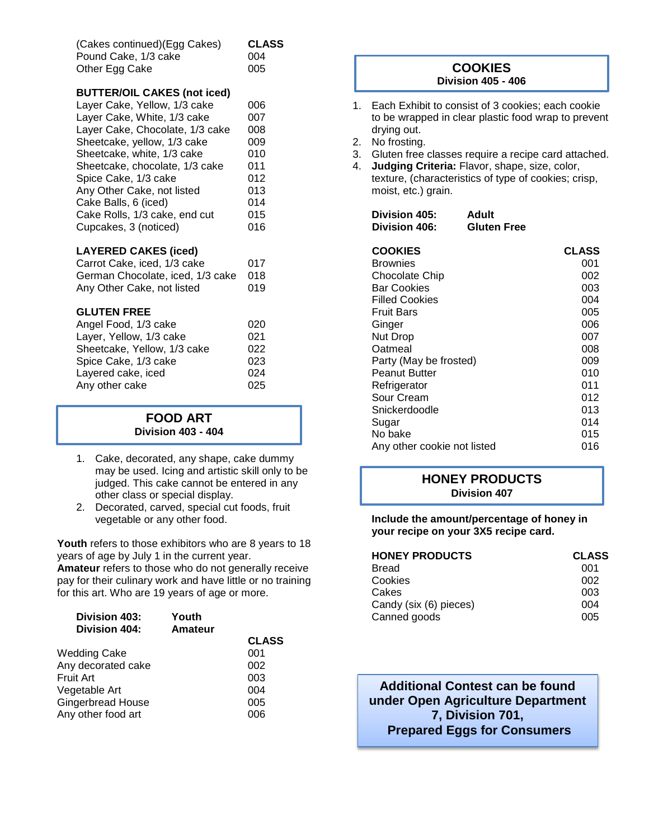| (Cakes continued) (Egg Cakes) | <b>CLASS</b> |
|-------------------------------|--------------|
| Pound Cake, 1/3 cake          | 004          |
| Other Egg Cake                | 005          |

### **BUTTER/OIL CAKES (not iced)**

| Layer Cake, Yellow, 1/3 cake    | 006 |
|---------------------------------|-----|
| Layer Cake, White, 1/3 cake     | 007 |
| Layer Cake, Chocolate, 1/3 cake | 008 |
| Sheetcake, yellow, 1/3 cake     | 009 |
| Sheetcake, white, 1/3 cake      | 010 |
| Sheetcake, chocolate, 1/3 cake  | 011 |
| Spice Cake, 1/3 cake            | 012 |
| Any Other Cake, not listed      | 013 |
| Cake Balls, 6 (iced)            | 014 |
| Cake Rolls, 1/3 cake, end cut   | 015 |
| Cupcakes, 3 (noticed)           | 016 |
|                                 |     |

### **LAYERED CAKES (iced)**

| Carrot Cake, iced, 1/3 cake          | 017 |
|--------------------------------------|-----|
| German Chocolate, iced, 1/3 cake 018 |     |
| Any Other Cake, not listed           | 019 |

### **GLUTEN FREE**

| Angel Food, 1/3 cake        | 020 |
|-----------------------------|-----|
| Layer, Yellow, 1/3 cake     | 021 |
| Sheetcake, Yellow, 1/3 cake | 022 |
| Spice Cake, 1/3 cake        | 023 |
| Layered cake, iced          | 024 |
| Any other cake              | 025 |

### **FOOD ART Division 403 - 404**

- 1. Cake, decorated, any shape, cake dummy may be used. Icing and artistic skill only to be judged. This cake cannot be entered in any other class or special display.
- 2. Decorated, carved, special cut foods, fruit vegetable or any other food.

Youth refers to those exhibitors who are 8 years to 18 years of age by July 1 in the current year. **Amateur** refers to those who do not generally receive pay for their culinary work and have little or no training for this art. Who are 19 years of age or more.

| Division 403:<br><b>Division 404:</b> | Youth<br>Amateur |              |
|---------------------------------------|------------------|--------------|
|                                       |                  | <b>CLASS</b> |
| Wedding Cake                          |                  | 001          |
| Any decorated cake                    |                  | 002          |
| Fruit Art                             |                  | 003          |
| Vegetable Art                         |                  | 004          |
| Gingerbread House                     |                  | 005          |
| Any other food art                    |                  | 006          |
|                                       |                  |              |

## **COOKIES Division 405 - 406**

- 1. Each Exhibit to consist of 3 cookies; each cookie to be wrapped in clear plastic food wrap to prevent drying out.
- 2. No frosting.
- 3. Gluten free classes require a recipe card attached.
- 4. **Judging Criteria:** Flavor, shape, size, color, texture, (characteristics of type of cookies; crisp, moist, etc.) grain.

| <b>Division 405:</b> | Adult              |
|----------------------|--------------------|
| Division 406:        | <b>Gluten Free</b> |

| <b>COOKIES</b>              | <b>CLASS</b> |
|-----------------------------|--------------|
| Brownies                    | 001          |
| Chocolate Chip              | 002          |
| <b>Bar Cookies</b>          | 003          |
| <b>Filled Cookies</b>       | 004          |
| <b>Fruit Bars</b>           | 005          |
| Ginger                      | 006          |
| Nut Drop                    | 007          |
| Oatmeal                     | 008          |
| Party (May be frosted)      | 009          |
| <b>Peanut Butter</b>        | 010          |
| Refrigerator                | 011          |
| Sour Cream                  | 012          |
| Snickerdoodle               | 013          |
| Sugar                       | 014          |
| No bake                     | 015          |
| Any other cookie not listed | 016          |

### **HONEY PRODUCTS Division 407**

**Include the amount/percentage of honey in your recipe on your 3X5 recipe card.** 

| <b>HONEY PRODUCTS</b>  | <b>CLASS</b> |
|------------------------|--------------|
| <b>Bread</b>           | 001          |
| Cookies                | 002          |
| Cakes                  | 003          |
| Candy (six (6) pieces) | 004          |
| Canned goods           | 005          |

**Additional Contest can be found under Open Agriculture Department 7, Division 701, Prepared Eggs for Consumers**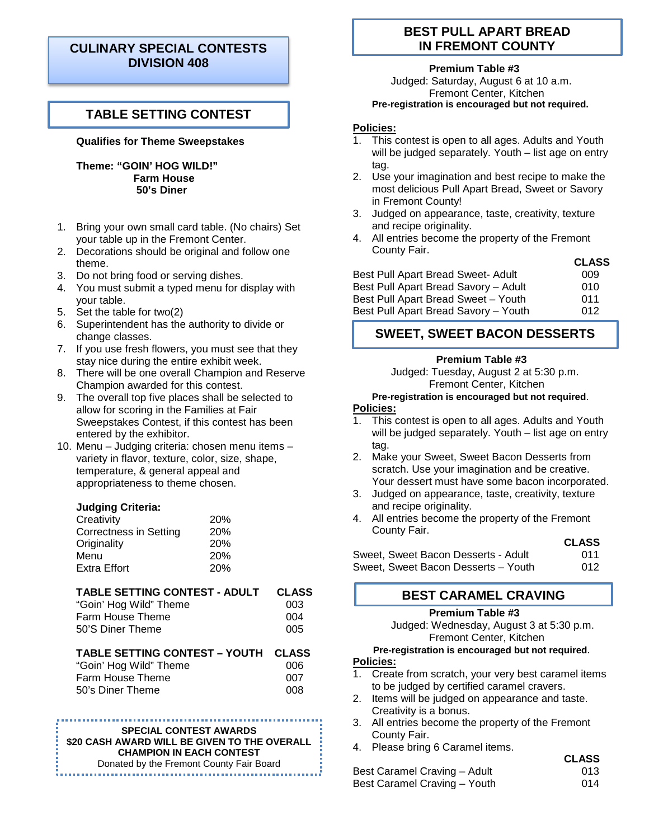# **CULINARY SPECIAL CONTESTS DIVISION 408**

# **TABLE SETTING CONTEST**

### **Qualifies for Theme Sweepstakes**

**Theme: "GOIN' HOG WILD!" Farm House 50's Diner**

- 1. Bring your own small card table. (No chairs) Set your table up in the Fremont Center.
- 2. Decorations should be original and follow one theme.
- 3. Do not bring food or serving dishes.
- 4. You must submit a typed menu for display with your table.
- 5. Set the table for two(2)
- 6. Superintendent has the authority to divide or change classes.
- 7. If you use fresh flowers, you must see that they stay nice during the entire exhibit week.
- 8. There will be one overall Champion and Reserve Champion awarded for this contest.
- 9. The overall top five places shall be selected to allow for scoring in the Families at Fair Sweepstakes Contest, if this contest has been entered by the exhibitor.
- 10. Menu Judging criteria: chosen menu items variety in flavor, texture, color, size, shape, temperature, & general appeal and appropriateness to theme chosen.

### **Judging Criteria:**

| Creativity             | 20% |
|------------------------|-----|
| Correctness in Setting | 20% |
| Originality            | 20% |
| Menu                   | 20% |
| <b>Extra Effort</b>    | 20% |

| <b>TABLE SETTING CONTEST - ADULT</b> | <b>CLASS</b> |
|--------------------------------------|--------------|
| "Goin' Hog Wild" Theme               | 003          |
| Farm House Theme                     | 004          |
| 50'S Diner Theme                     | 005          |

#### **TABLE SETTING CONTEST – YOUTH CLASS**   $"Coin'$  Hog Wild" Theme

| GOIN HOG VILLA THEME | uup |
|----------------------|-----|
| Farm House Theme     | 007 |
| 50's Diner Theme     | 008 |
|                      |     |

#### **SPECIAL CONTEST AWARDS**

**\$20 CASH AWARD WILL BE GIVEN TO THE OVERALL CHAMPION IN EACH CONTEST**

Donated by the Fremont County Fair Board

# **BEST PULL APART BREAD IN FREMONT COUNTY**

### **Premium Table #3**

Judged: Saturday, August 6 at 10 a.m. Fremont Center, Kitchen **Pre-registration is encouraged but not required.** 

### **Policies:**

J

- 1. This contest is open to all ages. Adults and Youth will be judged separately. Youth – list age on entry tag.
- 2. Use your imagination and best recipe to make the most delicious Pull Apart Bread, Sweet or Savory in Fremont County!
- 3. Judged on appearance, taste, creativity, texture and recipe originality.
- 4. All entries become the property of the Fremont County Fair.

|                                      | <b>CLASS</b> |
|--------------------------------------|--------------|
| Best Pull Apart Bread Sweet- Adult   | 009          |
| Best Pull Apart Bread Savory – Adult | 010          |
| Best Pull Apart Bread Sweet - Youth  | 011          |
| Best Pull Apart Bread Savory - Youth | 012          |

# **SWEET, SWEET BACON DESSERTS**

#### **Premium Table #3**

Judged: Tuesday, August 2 at 5:30 p.m. Fremont Center, Kitchen

# **Pre-registration is encouraged but not required**.

### **Policies:**

- 1. This contest is open to all ages. Adults and Youth will be judged separately. Youth – list age on entry tag.
- 2. Make your Sweet, Sweet Bacon Desserts from scratch. Use your imagination and be creative. Your dessert must have some bacon incorporated.
- 3. Judged on appearance, taste, creativity, texture and recipe originality.
- 4. All entries become the property of the Fremont County Fair.

### **CLASS**

**CLASS**

|  | Sweet, Sweet Bacon Desserts - Adult | 011 |
|--|-------------------------------------|-----|
|  | Sweet, Sweet Bacon Desserts - Youth | 012 |

# **BEST CARAMEL CRAVING**

# **Premium Table #3**

Judged: Wednesday, August 3 at 5:30 p.m. Fremont Center, Kitchen

#### **Pre-registration is encouraged but not required**. **Policies:**

- 1. Create from scratch, your very best caramel items to be judged by certified caramel cravers.
- 2. Items will be judged on appearance and taste. Creativity is a bonus.
- 3. All entries become the property of the Fremont County Fair.
- 4. Please bring 6 Caramel items.

| Best Caramel Craving - Adult | 013 |
|------------------------------|-----|
| Best Caramel Craving - Youth | 014 |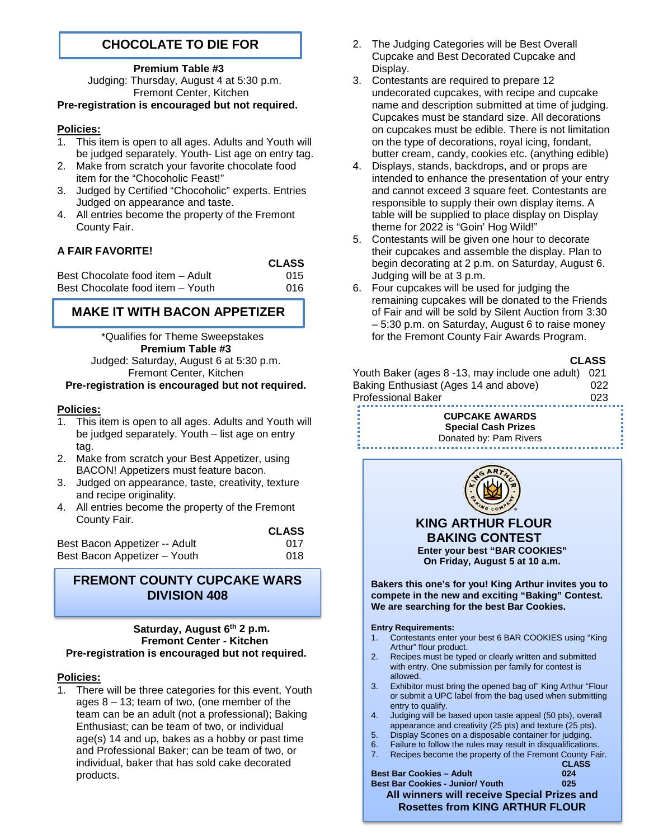# **CHOCOLATE TO DIE FOR**

### **Premium Table #3**

Judging: Thursday, August 4 at 5:30 p.m. Fremont Center, Kitchen

# **Pre-registration is encouraged but not required.**

### **Policies:**

- 1. This item is open to all ages. Adults and Youth will be judged separately. Youth- List age on entry tag.
- 2. Make from scratch your favorite chocolate food item for the "Chocoholic Feast!"
- 3. Judged by Certified "Chocoholic" experts. Entries Judged on appearance and taste.
- 4. All entries become the property of the Fremont County Fair.

# **A FAIR FAVORITE!**

|                                  | <b>CLASS</b> |
|----------------------------------|--------------|
| Best Chocolate food item - Adult | 015          |
| Best Chocolate food item - Youth | 016.         |

# **MAKE IT WITH BACON APPETIZER**

 \*Qualifies for Theme Sweepstakes **Premium Table #3** Judged: Saturday, August 6 at 5:30 p.m. Fremont Center, Kitchen

### **Pre-registration is encouraged but not required.**

### **Policies:**

- This item is open to all ages. Adults and Youth will be judged separately. Youth – list age on entry tag.
- 2. Make from scratch your Best Appetizer, using BACON! Appetizers must feature bacon.
- 3. Judged on appearance, taste, creativity, texture and recipe originality.
- 4. All entries become the property of the Fremont County Fair.  **CLASS**

|                               | <b>CLASS</b> |
|-------------------------------|--------------|
| Best Bacon Appetizer -- Adult | 017          |
| Best Bacon Appetizer - Youth  | 018          |

# **FREMONT COUNTY CUPCAKE WARS DIVISION 408**

#### **Saturday, August 6th 2 p.m. Fremont Center - Kitchen Pre-registration is encouraged but not required.**

### **Policies:**

There will be three categories for this event, Youth ages  $8 - 13$ ; team of two, (one member of the team can be an adult (not a professional); Baking Enthusiast; can be team of two, or individual age(s) 14 and up, bakes as a hobby or past time and Professional Baker; can be team of two, or individual, baker that has sold cake decorated products.

- 2. The Judging Categories will be Best Overall Cupcake and Best Decorated Cupcake and Display.
- 3. Contestants are required to prepare 12 undecorated cupcakes, with recipe and cupcake name and description submitted at time of judging. Cupcakes must be standard size. All decorations on cupcakes must be edible. There is not limitation on the type of decorations, royal icing, fondant, butter cream, candy, cookies etc. (anything edible)
- 4. Displays, stands, backdrops, and or props are intended to enhance the presentation of your entry and cannot exceed 3 square feet. Contestants are responsible to supply their own display items. A table will be supplied to place display on Display theme for 2022 is "Goin' Hog Wild!"
- 5. Contestants will be given one hour to decorate their cupcakes and assemble the display. Plan to begin decorating at 2 p.m. on Saturday, August 6. Judging will be at 3 p.m.
- 6. Four cupcakes will be used for judging the remaining cupcakes will be donated to the Friends of Fair and will be sold by Silent Auction from 3:30 – 5:30 p.m. on Saturday, August 6 to raise money for the Fremont County Fair Awards Program.



Youth Baker (ages 8 -13, may include one adult) 021 Baking Enthusiast (Ages 14 and above) 022 Professional Baker 023

> **CUPCAKE AWARDS Special Cash Prizes**





- Failure to follow the rules may result in disqualifications.
- 7. Recipes become the property of the Fremont County Fair. **CLASS**

| 025                                         |
|---------------------------------------------|
| All winners will receive Special Prizes and |
| <b>Rosettes from KING ARTHUR FLOUR</b>      |
| 024                                         |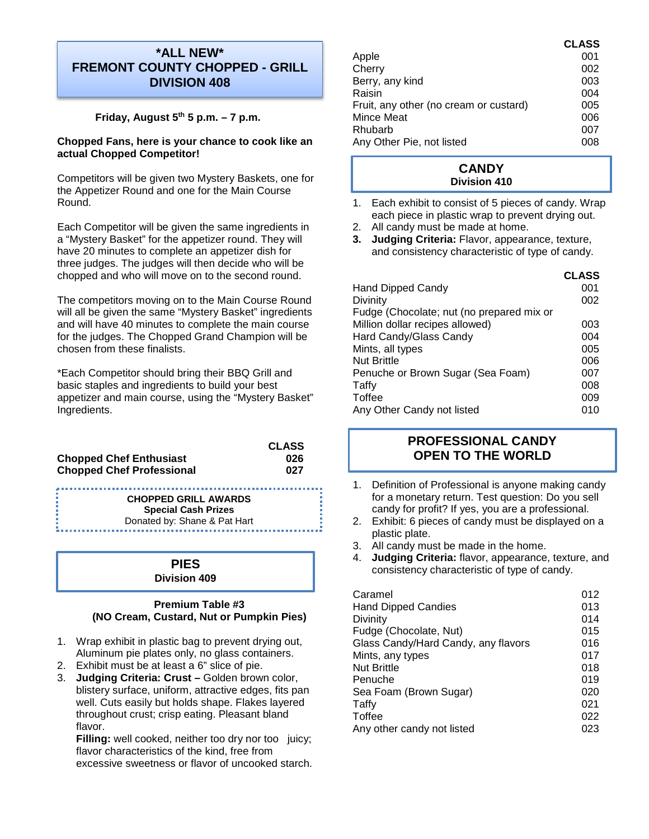# **\*ALL NEW\* FREMONT COUNTY CHOPPED - GRILL DIVISION 408**

### **Friday, August 5th 5 p.m. – 7 p.m.**

### **Chopped Fans, here is your chance to cook like an actual Chopped Competitor!**

Competitors will be given two Mystery Baskets, one for the Appetizer Round and one for the Main Course Round.

Each Competitor will be given the same ingredients in a "Mystery Basket" for the appetizer round. They will have 20 minutes to complete an appetizer dish for three judges. The judges will then decide who will be chopped and who will move on to the second round.

The competitors moving on to the Main Course Round will all be given the same "Mystery Basket" ingredients and will have 40 minutes to complete the main course for the judges. The Chopped Grand Champion will be chosen from these finalists.

\*Each Competitor should bring their BBQ Grill and basic staples and ingredients to build your best appetizer and main course, using the "Mystery Basket" Ingredients.

|                                  | <b>CLASS</b> |
|----------------------------------|--------------|
| <b>Chopped Chef Enthusiast</b>   | 026          |
| <b>Chopped Chef Professional</b> | 027          |

............................. **CHOPPED GRILL AWARDS Special Cash Prizes**  Donated by: Shane & Pat Hart

### **PIES Division 409**

### **Premium Table #3 (NO Cream, Custard, Nut or Pumpkin Pies)**

- 1. Wrap exhibit in plastic bag to prevent drying out, Aluminum pie plates only, no glass containers.
- 2. Exhibit must be at least a 6" slice of pie.
- 3. **Judging Criteria: Crust –** Golden brown color, blistery surface, uniform, attractive edges, fits pan well. Cuts easily but holds shape. Flakes layered throughout crust; crisp eating. Pleasant bland flavor.

**Filling:** well cooked, neither too dry nor too juicy; flavor characteristics of the kind, free from excessive sweetness or flavor of uncooked starch.

|                                        | <b>CLASS</b> |
|----------------------------------------|--------------|
| Apple                                  | 001          |
| Cherry                                 | 002          |
| Berry, any kind                        | 003          |
| Raisin                                 | 004          |
| Fruit, any other (no cream or custard) | 005          |
| Mince Meat                             | 006          |
| Rhubarb                                | 007          |
| Any Other Pie, not listed              | 008          |

# **CANDY Division 410**

- 1. Each exhibit to consist of 5 pieces of candy. Wrap each piece in plastic wrap to prevent drying out.
- 2. All candy must be made at home.
- **3. Judging Criteria:** Flavor, appearance, texture, and consistency characteristic of type of candy.

|                                           | <b>CLASS</b> |
|-------------------------------------------|--------------|
| <b>Hand Dipped Candy</b>                  | 001          |
| Divinity                                  | 002          |
| Fudge (Chocolate; nut (no prepared mix or |              |
| Million dollar recipes allowed)           | 003          |
| Hard Candy/Glass Candy                    | 004          |
| Mints, all types                          | 005          |
| <b>Nut Brittle</b>                        | 006          |
| Penuche or Brown Sugar (Sea Foam)         | 007          |
| Taffy                                     | 008          |
| Toffee                                    | 009          |
| Any Other Candy not listed                | 010          |

# **PROFESSIONAL CANDY OPEN TO THE WORLD**

- 1. Definition of Professional is anyone making candy for a monetary return. Test question: Do you sell candy for profit? If yes, you are a professional.
- 2. Exhibit: 6 pieces of candy must be displayed on a plastic plate.
- 3. All candy must be made in the home.
- 4. **Judging Criteria:** flavor, appearance, texture, and consistency characteristic of type of candy.

| Caramel                             | 012 |
|-------------------------------------|-----|
| <b>Hand Dipped Candies</b>          | 013 |
| Divinity                            | 014 |
| Fudge (Chocolate, Nut)              | 015 |
| Glass Candy/Hard Candy, any flavors | 016 |
| Mints, any types                    | 017 |
| <b>Nut Brittle</b>                  | 018 |
| Penuche                             | 019 |
| Sea Foam (Brown Sugar)              | 020 |
| Taffy                               | 021 |
| Toffee                              | 022 |
| Any other candy not listed          | 023 |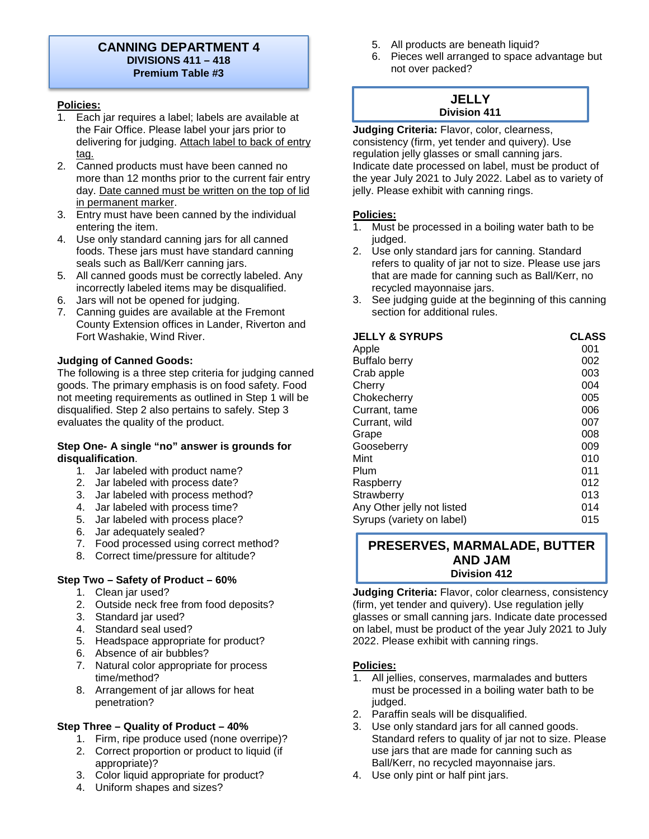# **CANNING DEPARTMENT 4 DIVISIONS 411 – 418 Premium Table #3**

## **Policies:**

- 1. Each jar requires a label; labels are available at the Fair Office. Please label your jars prior to delivering for judging. Attach label to back of entry tag.
- 2. Canned products must have been canned no more than 12 months prior to the current fair entry day. Date canned must be written on the top of lid in permanent marker.
- 3. Entry must have been canned by the individual entering the item.
- 4. Use only standard canning jars for all canned foods. These jars must have standard canning seals such as Ball/Kerr canning jars.
- 5. All canned goods must be correctly labeled. Any incorrectly labeled items may be disqualified.
- 6. Jars will not be opened for judging.
- 7. Canning guides are available at the Fremont County Extension offices in Lander, Riverton and Fort Washakie, Wind River.

### **Judging of Canned Goods:**

The following is a three step criteria for judging canned goods. The primary emphasis is on food safety. Food not meeting requirements as outlined in Step 1 will be disqualified. Step 2 also pertains to safely. Step 3 evaluates the quality of the product.

### **Step One- A single "no" answer is grounds for disqualification**.

- 1. Jar labeled with product name?
- 2. Jar labeled with process date?
- 3. Jar labeled with process method?
- 4. Jar labeled with process time?
- 5. Jar labeled with process place?
- 6. Jar adequately sealed?
- 7. Food processed using correct method?
- 8. Correct time/pressure for altitude?

### **Step Two – Safety of Product – 60%**

- 1. Clean jar used?
- 2. Outside neck free from food deposits?
- 3. Standard jar used?
- 4. Standard seal used?
- 5. Headspace appropriate for product?
- 6. Absence of air bubbles?
- 7. Natural color appropriate for process time/method?
- 8. Arrangement of jar allows for heat penetration?

### **Step Three – Quality of Product – 40%**

- 1. Firm, ripe produce used (none overripe)?
- 2. Correct proportion or product to liquid (if appropriate)?
- 3. Color liquid appropriate for product?
- 4. Uniform shapes and sizes?
- 5. All products are beneath liquid?
- 6. Pieces well arranged to space advantage but not over packed?

# **JELLY Division 411**

**Judging Criteria:** Flavor, color, clearness, consistency (firm, yet tender and quivery). Use regulation jelly glasses or small canning jars. Indicate date processed on label, must be product of the year July 2021 to July 2022. Label as to variety of jelly. Please exhibit with canning rings.

## **Policies:**

- 1. Must be processed in a boiling water bath to be judged.
- 2. Use only standard jars for canning. Standard refers to quality of jar not to size. Please use jars that are made for canning such as Ball/Kerr, no recycled mayonnaise jars.
- 3. See judging guide at the beginning of this canning section for additional rules.

| <b>CLASS</b> |
|--------------|
| 001          |
| 002          |
| 003          |
| 004          |
| 005          |
| 006          |
| 007          |
| 008          |
| 009          |
| 010          |
| 011          |
| 012          |
| 013          |
| 014          |
| 015          |
|              |

# **PRESERVES, MARMALADE, BUTTER AND JAM Division 412**

**Judging Criteria:** Flavor, color clearness, consistency (firm, yet tender and quivery). Use regulation jelly glasses or small canning jars. Indicate date processed on label, must be product of the year July 2021 to July 2022. Please exhibit with canning rings.

### **Policies:**

- 1. All jellies, conserves, marmalades and butters must be processed in a boiling water bath to be judged.
- 2. Paraffin seals will be disqualified.
- 3. Use only standard jars for all canned goods. Standard refers to quality of jar not to size. Please use jars that are made for canning such as Ball/Kerr, no recycled mayonnaise jars.
- 4. Use only pint or half pint jars.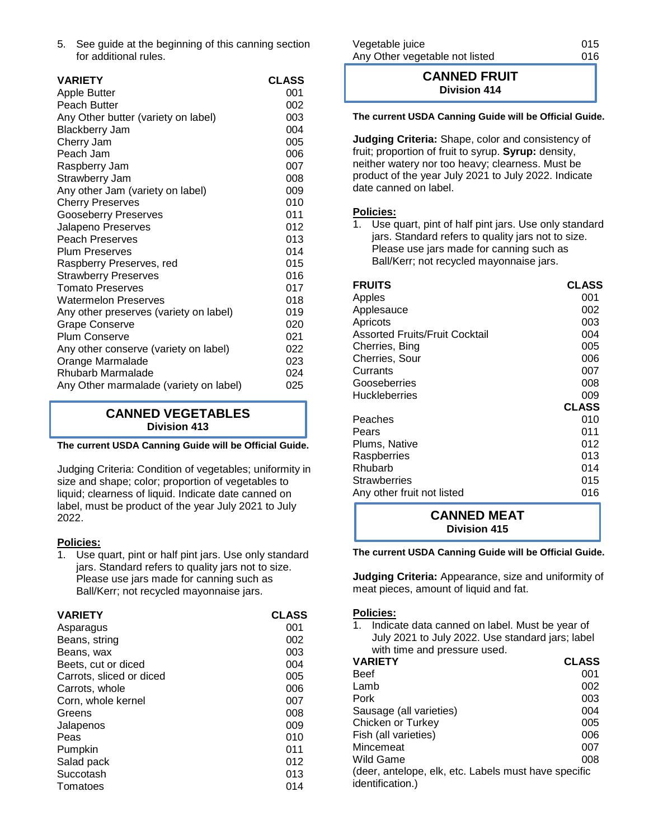5. See guide at the beginning of this canning section for additional rules.

| <b>VARIETY</b>                         | <b>CLASS</b> |
|----------------------------------------|--------------|
| <b>Apple Butter</b>                    | 001          |
| Peach Butter                           | 002          |
| Any Other butter (variety on label)    | 003          |
| <b>Blackberry Jam</b>                  | 004          |
| Cherry Jam                             | 005          |
| Peach Jam                              | 006          |
| Raspberry Jam                          | 007          |
| Strawberry Jam                         | 008          |
| Any other Jam (variety on label)       | 009          |
| <b>Cherry Preserves</b>                | 010          |
| <b>Gooseberry Preserves</b>            | 011          |
| Jalapeno Preserves                     | 012          |
| <b>Peach Preserves</b>                 | 013          |
| <b>Plum Preserves</b>                  | 014          |
| Raspberry Preserves, red               | 015          |
| <b>Strawberry Preserves</b>            | 016          |
| <b>Tomato Preserves</b>                | 017          |
| <b>Watermelon Preserves</b>            | 018          |
| Any other preserves (variety on label) | 019          |
| <b>Grape Conserve</b>                  | 020          |
| <b>Plum Conserve</b>                   | 021          |
| Any other conserve (variety on label)  | 022          |
| Orange Marmalade                       | 023          |
| Rhubarb Marmalade                      | 024          |
| Any Other marmalade (variety on label) | 025          |
|                                        |              |

# **CANNED VEGETABLES Division 413**

### **The current USDA Canning Guide will be Official Guide.**

Judging Criteria: Condition of vegetables; uniformity in size and shape; color; proportion of vegetables to liquid; clearness of liquid. Indicate date canned on label, must be product of the year July 2021 to July 2022.

### **Policies:**

1. Use quart, pint or half pint jars. Use only standard jars. Standard refers to quality jars not to size. Please use jars made for canning such as Ball/Kerr; not recycled mayonnaise jars.

| <b>VARIETY</b>           | <b>CLASS</b> |
|--------------------------|--------------|
| Asparagus                | 001          |
| Beans, string            | 002          |
| Beans, wax               | 003          |
| Beets, cut or diced      | 004          |
| Carrots, sliced or diced | 005          |
| Carrots, whole           | 006          |
| Corn, whole kernel       | 007          |
| Greens                   | 008          |
| Jalapenos                | 009          |
| Peas                     | 010          |
| Pumpkin                  | 011          |
| Salad pack               | 012          |
| Succotash                | 013          |
| Tomatoes                 | 014          |

| Vegetable juice                | 015 |
|--------------------------------|-----|
| Any Other vegetable not listed | 016 |

# **CANNED FRUIT Division 414**

### **The current USDA Canning Guide will be Official Guide.**

**Judging Criteria:** Shape, color and consistency of fruit; proportion of fruit to syrup. **Syrup:** density, neither watery nor too heavy; clearness. Must be product of the year July 2021 to July 2022. Indicate date canned on label.

#### **Policies:**

1. Use quart, pint of half pint jars. Use only standard jars. Standard refers to quality jars not to size. Please use jars made for canning such as Ball/Kerr; not recycled mayonnaise jars.

| <b>FRUITS</b>                         | <b>CLASS</b> |
|---------------------------------------|--------------|
| Apples                                | 001          |
| Applesauce                            | 002          |
| Apricots                              | 003          |
| <b>Assorted Fruits/Fruit Cocktail</b> | 004          |
| Cherries, Bing                        | 005          |
| Cherries, Sour                        | 006          |
| Currants                              | 007          |
| Gooseberries                          | 008          |
| <b>Huckleberries</b>                  | 009          |
|                                       | <b>CLASS</b> |
| Peaches                               | 010          |
| Pears                                 | 011          |
| Plums, Native                         | 012          |
| Raspberries                           | 013          |
| Rhubarb                               | 014          |
| Strawberries                          | 015          |
| Any other fruit not listed            | 016          |
|                                       |              |

**CANNED MEAT Division 415**

#### **The current USDA Canning Guide will be Official Guide.**

**Judging Criteria:** Appearance, size and uniformity of meat pieces, amount of liquid and fat.

### **Policies:**

1. Indicate data canned on label. Must be year of July 2021 to July 2022. Use standard jars; label with time and pressure used.

| <b>VARIETY</b>                                       | <b>CLASS</b> |  |
|------------------------------------------------------|--------------|--|
| Beef                                                 | 001          |  |
| Lamb                                                 | 002          |  |
| Pork                                                 | 003          |  |
| Sausage (all varieties)                              | 004          |  |
| Chicken or Turkey                                    | 005          |  |
| Fish (all varieties)                                 | 006          |  |
| Mincemeat                                            | 007          |  |
| Wild Game                                            | 008          |  |
| (deer, antelope, elk, etc. Labels must have specific |              |  |
| <i>identification.)</i>                              |              |  |